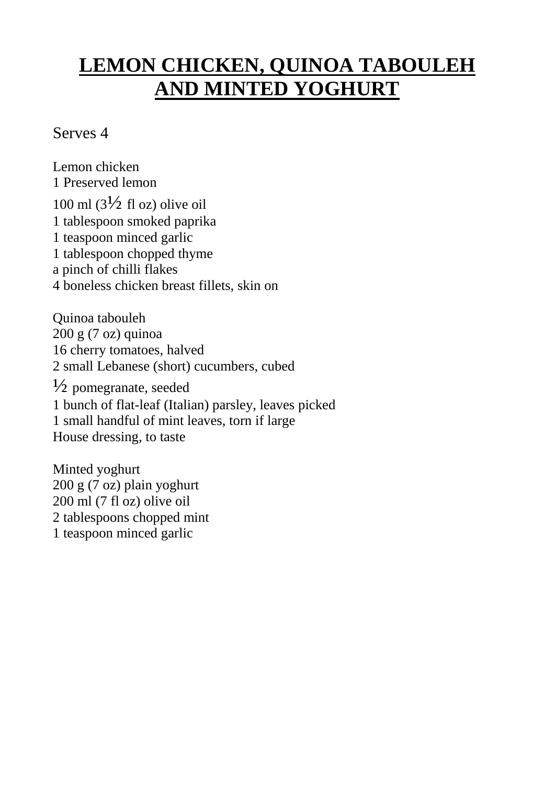## **LEMON CHICKEN, QUINOA TABOULEH AND MINTED YOGHURT**

## Serves 4

Lemon chicken 1 Preserved lemon 100 ml  $\left(3\frac{1}{2} \text{ fl oz}\right)$  olive oil 1 tablespoon smoked paprika 1 teaspoon minced garlic 1 tablespoon chopped thyme a pinch of chilli flakes 4 boneless chicken breast fillets, skin on

Quinoa tabouleh 200 g (7 oz) quinoa 16 cherry tomatoes, halved 2 small Lebanese (short) cucumbers, cubed  $\frac{1}{2}$  pomegranate, seeded 1 bunch of flat-leaf (Italian) parsley, leaves picked 1 small handful of mint leaves, torn if large House dressing, to taste

Minted yoghurt 200 g (7 oz) plain yoghurt 200 ml (7 fl oz) olive oil 2 tablespoons chopped mint 1 teaspoon minced garlic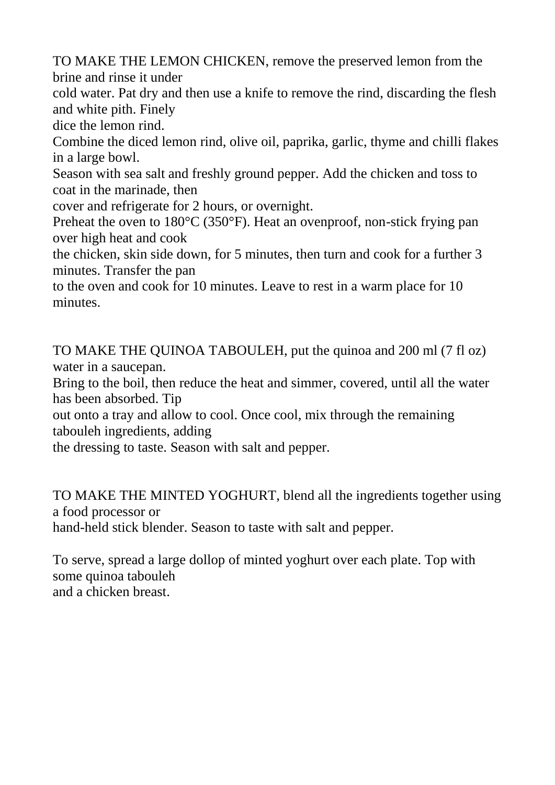TO MAKE THE LEMON CHICKEN, remove the preserved lemon from the brine and rinse it under

cold water. Pat dry and then use a knife to remove the rind, discarding the flesh and white pith. Finely

dice the lemon rind.

Combine the diced lemon rind, olive oil, paprika, garlic, thyme and chilli flakes in a large bowl.

Season with sea salt and freshly ground pepper. Add the chicken and toss to coat in the marinade, then

cover and refrigerate for 2 hours, or overnight.

Preheat the oven to 180°C (350°F). Heat an ovenproof, non-stick frying pan over high heat and cook

the chicken, skin side down, for 5 minutes, then turn and cook for a further 3 minutes. Transfer the pan

to the oven and cook for 10 minutes. Leave to rest in a warm place for 10 minutes.

TO MAKE THE QUINOA TABOULEH, put the quinoa and 200 ml (7 fl oz) water in a saucepan.

Bring to the boil, then reduce the heat and simmer, covered, until all the water has been absorbed. Tip

out onto a tray and allow to cool. Once cool, mix through the remaining tabouleh ingredients, adding

the dressing to taste. Season with salt and pepper.

TO MAKE THE MINTED YOGHURT, blend all the ingredients together using a food processor or

hand-held stick blender. Season to taste with salt and pepper.

To serve, spread a large dollop of minted yoghurt over each plate. Top with some quinoa tabouleh and a chicken breast.